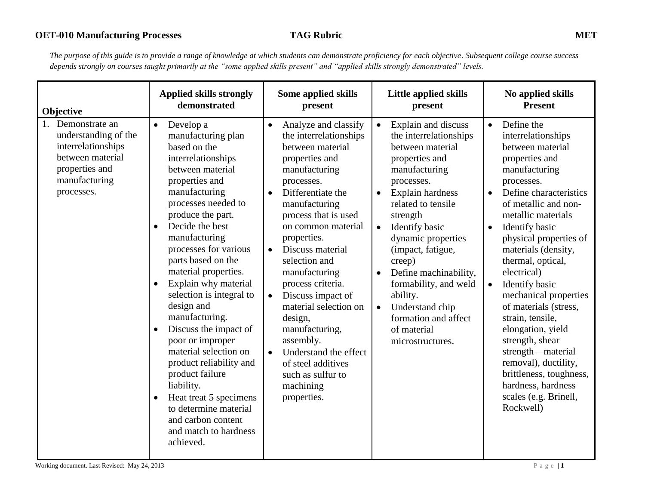| Objective                                                                                                                         | <b>Applied skills strongly</b>                                                                                                                                                                                                                                                                                                                                                                                                                                                                                                                                                                                                                                                            | <b>Some applied skills</b>                                                                                                                                                                                                                                                                                                                                                                                                                                                                                                                    | Little applied skills                                                                                                                                                                                                                                                                                                                                                                                                                           | No applied skills                                                                                                                                                                                                                                                                                                                                                                                                                                                                                                                                                                  |
|-----------------------------------------------------------------------------------------------------------------------------------|-------------------------------------------------------------------------------------------------------------------------------------------------------------------------------------------------------------------------------------------------------------------------------------------------------------------------------------------------------------------------------------------------------------------------------------------------------------------------------------------------------------------------------------------------------------------------------------------------------------------------------------------------------------------------------------------|-----------------------------------------------------------------------------------------------------------------------------------------------------------------------------------------------------------------------------------------------------------------------------------------------------------------------------------------------------------------------------------------------------------------------------------------------------------------------------------------------------------------------------------------------|-------------------------------------------------------------------------------------------------------------------------------------------------------------------------------------------------------------------------------------------------------------------------------------------------------------------------------------------------------------------------------------------------------------------------------------------------|------------------------------------------------------------------------------------------------------------------------------------------------------------------------------------------------------------------------------------------------------------------------------------------------------------------------------------------------------------------------------------------------------------------------------------------------------------------------------------------------------------------------------------------------------------------------------------|
|                                                                                                                                   | demonstrated                                                                                                                                                                                                                                                                                                                                                                                                                                                                                                                                                                                                                                                                              | present                                                                                                                                                                                                                                                                                                                                                                                                                                                                                                                                       | present                                                                                                                                                                                                                                                                                                                                                                                                                                         | <b>Present</b>                                                                                                                                                                                                                                                                                                                                                                                                                                                                                                                                                                     |
| Demonstrate an<br>understanding of the<br>interrelationships<br>between material<br>properties and<br>manufacturing<br>processes. | Develop a<br>$\bullet$<br>manufacturing plan<br>based on the<br>interrelationships<br>between material<br>properties and<br>manufacturing<br>processes needed to<br>produce the part.<br>Decide the best<br>$\bullet$<br>manufacturing<br>processes for various<br>parts based on the<br>material properties.<br>Explain why material<br>$\bullet$<br>selection is integral to<br>design and<br>manufacturing.<br>Discuss the impact of<br>$\bullet$<br>poor or improper<br>material selection on<br>product reliability and<br>product failure<br>liability.<br>Heat treat 5 specimens<br>$\bullet$<br>to determine material<br>and carbon content<br>and match to hardness<br>achieved. | Analyze and classify<br>$\bullet$<br>the interrelationships<br>between material<br>properties and<br>manufacturing<br>processes.<br>Differentiate the<br>$\bullet$<br>manufacturing<br>process that is used<br>on common material<br>properties.<br>Discuss material<br>$\bullet$<br>selection and<br>manufacturing<br>process criteria.<br>Discuss impact of<br>$\bullet$<br>material selection on<br>design,<br>manufacturing,<br>assembly.<br>Understand the effect<br>of steel additives<br>such as sulfur to<br>machining<br>properties. | Explain and discuss<br>the interrelationships<br>between material<br>properties and<br>manufacturing<br>processes.<br>Explain hardness<br>$\bullet$<br>related to tensile<br>strength<br>Identify basic<br>$\bullet$<br>dynamic properties<br>(impact, fatigue,<br>creep)<br>Define machinability,<br>$\bullet$<br>formability, and weld<br>ability.<br>Understand chip<br>$\bullet$<br>formation and affect<br>of material<br>microstructures. | Define the<br>$\bullet$<br>interrelationships<br>between material<br>properties and<br>manufacturing<br>processes.<br>Define characteristics<br>of metallic and non-<br>metallic materials<br>Identify basic<br>$\bullet$<br>physical properties of<br>materials (density,<br>thermal, optical,<br>electrical)<br>Identify basic<br>mechanical properties<br>of materials (stress,<br>strain, tensile,<br>elongation, yield<br>strength, shear<br>strength-material<br>removal), ductility,<br>brittleness, toughness,<br>hardness, hardness<br>scales (e.g. Brinell,<br>Rockwell) |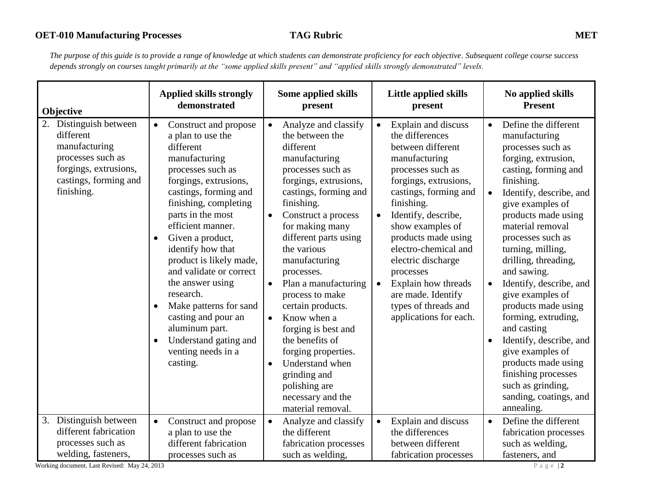*The purpose of this guide is to provide a range of knowledge at which students can demonstrate proficiency for each objective. Subsequent college course success depends strongly on courses taught primarily at the "some applied skills present" and "applied skills strongly demonstrated" levels.* 

| Objective                                                                                                                              | <b>Applied skills strongly</b>                                                                                                                                                                                                                                                                                                                                                                                                                                                                | Some applied skills                                                                                                                                                                                                                                                                                                                                                                                                                                                                                                                                                           | <b>Little applied skills</b>                                                                                                                                                                                                                                                                                                                                                                                            | No applied skills                                                                                                                                                                                                                                                                                                                                                                                                                                                                                                                                                                     |
|----------------------------------------------------------------------------------------------------------------------------------------|-----------------------------------------------------------------------------------------------------------------------------------------------------------------------------------------------------------------------------------------------------------------------------------------------------------------------------------------------------------------------------------------------------------------------------------------------------------------------------------------------|-------------------------------------------------------------------------------------------------------------------------------------------------------------------------------------------------------------------------------------------------------------------------------------------------------------------------------------------------------------------------------------------------------------------------------------------------------------------------------------------------------------------------------------------------------------------------------|-------------------------------------------------------------------------------------------------------------------------------------------------------------------------------------------------------------------------------------------------------------------------------------------------------------------------------------------------------------------------------------------------------------------------|---------------------------------------------------------------------------------------------------------------------------------------------------------------------------------------------------------------------------------------------------------------------------------------------------------------------------------------------------------------------------------------------------------------------------------------------------------------------------------------------------------------------------------------------------------------------------------------|
|                                                                                                                                        | demonstrated                                                                                                                                                                                                                                                                                                                                                                                                                                                                                  | present                                                                                                                                                                                                                                                                                                                                                                                                                                                                                                                                                                       | present                                                                                                                                                                                                                                                                                                                                                                                                                 | <b>Present</b>                                                                                                                                                                                                                                                                                                                                                                                                                                                                                                                                                                        |
| Distinguish between<br>different<br>manufacturing<br>processes such as<br>forgings, extrusions,<br>castings, forming and<br>finishing. | Construct and propose<br>$\bullet$<br>a plan to use the<br>different<br>manufacturing<br>processes such as<br>forgings, extrusions,<br>castings, forming and<br>finishing, completing<br>parts in the most<br>efficient manner.<br>Given a product,<br>identify how that<br>product is likely made,<br>and validate or correct<br>the answer using<br>research.<br>Make patterns for sand<br>casting and pour an<br>aluminum part.<br>Understand gating and<br>venting needs in a<br>casting. | Analyze and classify<br>the between the<br>different<br>manufacturing<br>processes such as<br>forgings, extrusions,<br>castings, forming and<br>finishing.<br>Construct a process<br>$\bullet$<br>for making many<br>different parts using<br>the various<br>manufacturing<br>processes.<br>Plan a manufacturing<br>$\bullet$<br>process to make<br>certain products.<br>Know when a<br>$\bullet$<br>forging is best and<br>the benefits of<br>forging properties.<br>Understand when<br>$\bullet$<br>grinding and<br>polishing are<br>necessary and the<br>material removal. | Explain and discuss<br>$\bullet$<br>the differences<br>between different<br>manufacturing<br>processes such as<br>forgings, extrusions,<br>castings, forming and<br>finishing.<br>Identify, describe,<br>$\bullet$<br>show examples of<br>products made using<br>electro-chemical and<br>electric discharge<br>processes<br>Explain how threads<br>are made. Identify<br>types of threads and<br>applications for each. | Define the different<br>$\bullet$<br>manufacturing<br>processes such as<br>forging, extrusion,<br>casting, forming and<br>finishing.<br>Identify, describe, and<br>give examples of<br>products made using<br>material removal<br>processes such as<br>turning, milling,<br>drilling, threading,<br>and sawing.<br>Identify, describe, and<br>give examples of<br>products made using<br>forming, extruding,<br>and casting<br>Identify, describe, and<br>give examples of<br>products made using<br>finishing processes<br>such as grinding,<br>sanding, coatings, and<br>annealing. |
| Distinguish between                                                                                                                    | Construct and propose                                                                                                                                                                                                                                                                                                                                                                                                                                                                         | Analyze and classify                                                                                                                                                                                                                                                                                                                                                                                                                                                                                                                                                          | Explain and discuss                                                                                                                                                                                                                                                                                                                                                                                                     | Define the different                                                                                                                                                                                                                                                                                                                                                                                                                                                                                                                                                                  |
| 3.                                                                                                                                     | $\bullet$                                                                                                                                                                                                                                                                                                                                                                                                                                                                                     | $\bullet$                                                                                                                                                                                                                                                                                                                                                                                                                                                                                                                                                                     | $\bullet$                                                                                                                                                                                                                                                                                                                                                                                                               | $\bullet$                                                                                                                                                                                                                                                                                                                                                                                                                                                                                                                                                                             |
| different fabrication                                                                                                                  | a plan to use the                                                                                                                                                                                                                                                                                                                                                                                                                                                                             | the different                                                                                                                                                                                                                                                                                                                                                                                                                                                                                                                                                                 | the differences                                                                                                                                                                                                                                                                                                                                                                                                         | fabrication processes                                                                                                                                                                                                                                                                                                                                                                                                                                                                                                                                                                 |
| processes such as                                                                                                                      | different fabrication                                                                                                                                                                                                                                                                                                                                                                                                                                                                         | fabrication processes                                                                                                                                                                                                                                                                                                                                                                                                                                                                                                                                                         | between different                                                                                                                                                                                                                                                                                                                                                                                                       | such as welding,                                                                                                                                                                                                                                                                                                                                                                                                                                                                                                                                                                      |
| welding, fasteners,                                                                                                                    | processes such as                                                                                                                                                                                                                                                                                                                                                                                                                                                                             | such as welding.                                                                                                                                                                                                                                                                                                                                                                                                                                                                                                                                                              | fabrication processes                                                                                                                                                                                                                                                                                                                                                                                                   | fasteners, and                                                                                                                                                                                                                                                                                                                                                                                                                                                                                                                                                                        |

Working document. Last Revised: May 24, 2013 P a g e | 2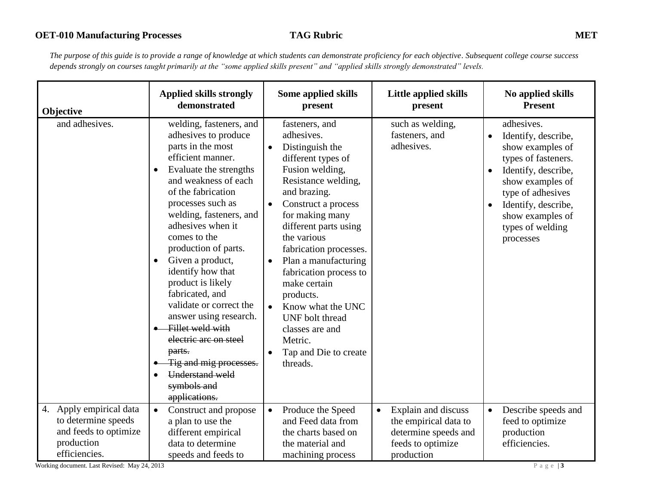*The purpose of this guide is to provide a range of knowledge at which students can demonstrate proficiency for each objective. Subsequent college course success depends strongly on courses taught primarily at the "some applied skills present" and "applied skills strongly demonstrated" levels.* 

| Objective                                                                                              | <b>Applied skills strongly</b><br>demonstrated                                                                                                                                                                                                                                                                                                                                                                                                                                                                                                                                            | <b>Some applied skills</b><br>present                                                                                                                                                                                                                                                                                                                                                                                                                                                     | Little applied skills<br>present                                                                                     | No applied skills<br><b>Present</b>                                                                                                                                                                                                                             |
|--------------------------------------------------------------------------------------------------------|-------------------------------------------------------------------------------------------------------------------------------------------------------------------------------------------------------------------------------------------------------------------------------------------------------------------------------------------------------------------------------------------------------------------------------------------------------------------------------------------------------------------------------------------------------------------------------------------|-------------------------------------------------------------------------------------------------------------------------------------------------------------------------------------------------------------------------------------------------------------------------------------------------------------------------------------------------------------------------------------------------------------------------------------------------------------------------------------------|----------------------------------------------------------------------------------------------------------------------|-----------------------------------------------------------------------------------------------------------------------------------------------------------------------------------------------------------------------------------------------------------------|
| and adhesives.                                                                                         | welding, fasteners, and<br>adhesives to produce<br>parts in the most<br>efficient manner.<br>Evaluate the strengths<br>$\bullet$<br>and weakness of each<br>of the fabrication<br>processes such as<br>welding, fasteners, and<br>adhesives when it<br>comes to the<br>production of parts.<br>Given a product,<br>$\bullet$<br>identify how that<br>product is likely<br>fabricated, and<br>validate or correct the<br>answer using research.<br>Fillet weld with<br>electric arc on steel<br>parts.<br>Tig and mig processes.<br><b>Understand weld</b><br>symbols and<br>applications. | fasteners, and<br>adhesives.<br>Distinguish the<br>different types of<br>Fusion welding,<br>Resistance welding,<br>and brazing.<br>Construct a process<br>$\bullet$<br>for making many<br>different parts using<br>the various<br>fabrication processes.<br>Plan a manufacturing<br>$\bullet$<br>fabrication process to<br>make certain<br>products.<br>Know what the UNC<br>$\bullet$<br>UNF bolt thread<br>classes are and<br>Metric.<br>Tap and Die to create<br>$\bullet$<br>threads. | such as welding,<br>fasteners, and<br>adhesives.                                                                     | adhesives.<br>Identify, describe,<br>$\bullet$<br>show examples of<br>types of fasteners.<br>Identify, describe,<br>$\bullet$<br>show examples of<br>type of adhesives<br>Identify, describe,<br>$\bullet$<br>show examples of<br>types of welding<br>processes |
| 4. Apply empirical data<br>to determine speeds<br>and feeds to optimize<br>production<br>efficiencies. | $\bullet$<br>Construct and propose<br>a plan to use the<br>different empirical<br>data to determine<br>speeds and feeds to                                                                                                                                                                                                                                                                                                                                                                                                                                                                | Produce the Speed<br>$\bullet$<br>and Feed data from<br>the charts based on<br>the material and<br>machining process                                                                                                                                                                                                                                                                                                                                                                      | Explain and discuss<br>$\bullet$<br>the empirical data to<br>determine speeds and<br>feeds to optimize<br>production | Describe speeds and<br>$\bullet$<br>feed to optimize<br>production<br>efficiencies.                                                                                                                                                                             |

Working document. Last Revised: May 24, 2013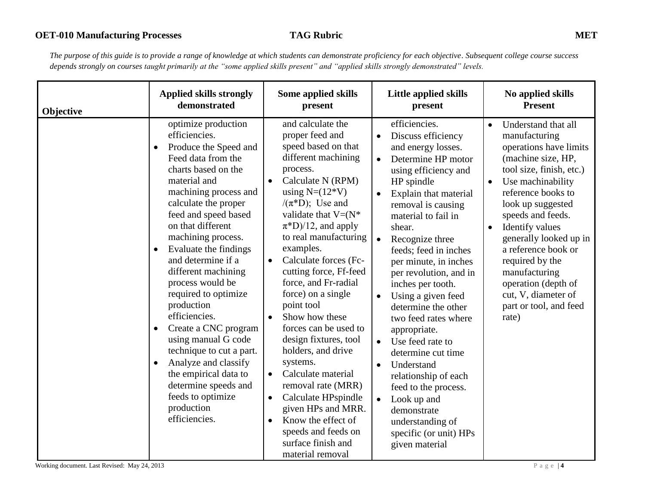*The purpose of this guide is to provide a range of knowledge at which students can demonstrate proficiency for each objective. Subsequent college course success depends strongly on courses taught primarily at the "some applied skills present" and "applied skills strongly demonstrated" levels.* 

| Objective | <b>Applied skills strongly</b>                                                                                                                                                                                                                                                                                                                                                                                                                                                                                                                                                                                                                 | Some applied skills                                                                                                                                                                                                                                                                                                                                                                                                                                                                                                                                                                                                                                                                                                     | Little applied skills                                                                                                                                                                                                                                                                                                                                                                                                                                                                                                                                                                                                                                                                                           | No applied skills                                                                                                                                                                                                                                                                                                                                                                                           |
|-----------|------------------------------------------------------------------------------------------------------------------------------------------------------------------------------------------------------------------------------------------------------------------------------------------------------------------------------------------------------------------------------------------------------------------------------------------------------------------------------------------------------------------------------------------------------------------------------------------------------------------------------------------------|-------------------------------------------------------------------------------------------------------------------------------------------------------------------------------------------------------------------------------------------------------------------------------------------------------------------------------------------------------------------------------------------------------------------------------------------------------------------------------------------------------------------------------------------------------------------------------------------------------------------------------------------------------------------------------------------------------------------------|-----------------------------------------------------------------------------------------------------------------------------------------------------------------------------------------------------------------------------------------------------------------------------------------------------------------------------------------------------------------------------------------------------------------------------------------------------------------------------------------------------------------------------------------------------------------------------------------------------------------------------------------------------------------------------------------------------------------|-------------------------------------------------------------------------------------------------------------------------------------------------------------------------------------------------------------------------------------------------------------------------------------------------------------------------------------------------------------------------------------------------------------|
|           | demonstrated                                                                                                                                                                                                                                                                                                                                                                                                                                                                                                                                                                                                                                   | present                                                                                                                                                                                                                                                                                                                                                                                                                                                                                                                                                                                                                                                                                                                 | present                                                                                                                                                                                                                                                                                                                                                                                                                                                                                                                                                                                                                                                                                                         | <b>Present</b>                                                                                                                                                                                                                                                                                                                                                                                              |
|           | optimize production<br>efficiencies.<br>Produce the Speed and<br>$\bullet$<br>Feed data from the<br>charts based on the<br>material and<br>machining process and<br>calculate the proper<br>feed and speed based<br>on that different<br>machining process.<br>Evaluate the findings<br>$\bullet$<br>and determine if a<br>different machining<br>process would be<br>required to optimize<br>production<br>efficiencies.<br>Create a CNC program<br>$\bullet$<br>using manual G code<br>technique to cut a part.<br>Analyze and classify<br>the empirical data to<br>determine speeds and<br>feeds to optimize<br>production<br>efficiencies. | and calculate the<br>proper feed and<br>speed based on that<br>different machining<br>process.<br>Calculate N (RPM)<br>using $N=(12*V)$<br>$/(\pi^*D)$ ; Use and<br>validate that $V = (N^*)$<br>$\pi^*D$ /12, and apply<br>to real manufacturing<br>examples.<br>Calculate forces (Fc-<br>$\bullet$<br>cutting force, Ff-feed<br>force, and Fr-radial<br>force) on a single<br>point tool<br>Show how these<br>forces can be used to<br>design fixtures, tool<br>holders, and drive<br>systems.<br>Calculate material<br>$\bullet$<br>removal rate (MRR)<br>Calculate HPspindle<br>$\bullet$<br>given HPs and MRR.<br>Know the effect of<br>$\bullet$<br>speeds and feeds on<br>surface finish and<br>material removal | efficiencies.<br>Discuss efficiency<br>and energy losses.<br>Determine HP motor<br>$\bullet$<br>using efficiency and<br>HP spindle<br>Explain that material<br>$\bullet$<br>removal is causing<br>material to fail in<br>shear.<br>Recognize three<br>$\bullet$<br>feeds; feed in inches<br>per minute, in inches<br>per revolution, and in<br>inches per tooth.<br>Using a given feed<br>$\bullet$<br>determine the other<br>two feed rates where<br>appropriate.<br>Use feed rate to<br>$\bullet$<br>determine cut time<br>Understand<br>$\bullet$<br>relationship of each<br>feed to the process.<br>Look up and<br>$\bullet$<br>demonstrate<br>understanding of<br>specific (or unit) HPs<br>given material | Understand that all<br>$\bullet$<br>manufacturing<br>operations have limits<br>(machine size, HP,<br>tool size, finish, etc.)<br>Use machinability<br>reference books to<br>look up suggested<br>speeds and feeds.<br>Identify values<br>generally looked up in<br>a reference book or<br>required by the<br>manufacturing<br>operation (depth of<br>cut, V, diameter of<br>part or tool, and feed<br>rate) |

Working document. Last Revised: May 24, 2013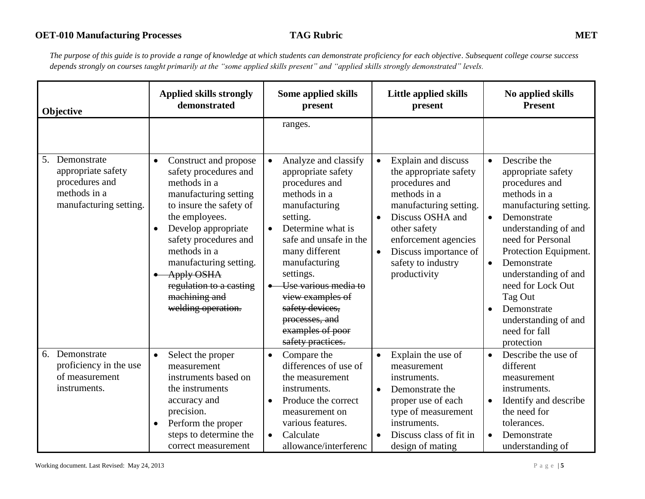| Objective                                                                                           | <b>Applied skills strongly</b><br>demonstrated                                                                                                                                                                                                                                                                                                  | Some applied skills<br>present                                                                                                                                                                                                                                                                                                                  | <b>Little applied skills</b><br>present                                                                                                                                                                                                                                     | No applied skills<br><b>Present</b>                                                                                                                                                                                                                                                                                                                                     |
|-----------------------------------------------------------------------------------------------------|-------------------------------------------------------------------------------------------------------------------------------------------------------------------------------------------------------------------------------------------------------------------------------------------------------------------------------------------------|-------------------------------------------------------------------------------------------------------------------------------------------------------------------------------------------------------------------------------------------------------------------------------------------------------------------------------------------------|-----------------------------------------------------------------------------------------------------------------------------------------------------------------------------------------------------------------------------------------------------------------------------|-------------------------------------------------------------------------------------------------------------------------------------------------------------------------------------------------------------------------------------------------------------------------------------------------------------------------------------------------------------------------|
|                                                                                                     |                                                                                                                                                                                                                                                                                                                                                 | ranges.                                                                                                                                                                                                                                                                                                                                         |                                                                                                                                                                                                                                                                             |                                                                                                                                                                                                                                                                                                                                                                         |
| 5.<br>Demonstrate<br>appropriate safety<br>procedures and<br>methods in a<br>manufacturing setting. | Construct and propose<br>$\bullet$<br>safety procedures and<br>methods in a<br>manufacturing setting<br>to insure the safety of<br>the employees.<br>Develop appropriate<br>$\bullet$<br>safety procedures and<br>methods in a<br>manufacturing setting.<br><b>Apply OSHA</b><br>regulation to a casting<br>machining and<br>welding operation. | Analyze and classify<br>$\bullet$<br>appropriate safety<br>procedures and<br>methods in a<br>manufacturing<br>setting.<br>Determine what is<br>safe and unsafe in the<br>many different<br>manufacturing<br>settings.<br>Use various media to<br>view examples of<br>safety devices,<br>processes, and<br>examples of poor<br>safety practices. | Explain and discuss<br>$\bullet$<br>the appropriate safety<br>procedures and<br>methods in a<br>manufacturing setting.<br>Discuss OSHA and<br>$\bullet$<br>other safety<br>enforcement agencies<br>Discuss importance of<br>$\bullet$<br>safety to industry<br>productivity | Describe the<br>$\bullet$<br>appropriate safety<br>procedures and<br>methods in a<br>manufacturing setting.<br>Demonstrate<br>$\bullet$<br>understanding of and<br>need for Personal<br>Protection Equipment.<br>Demonstrate<br>$\bullet$<br>understanding of and<br>need for Lock Out<br>Tag Out<br>Demonstrate<br>understanding of and<br>need for fall<br>protection |
| Demonstrate<br>6.<br>proficiency in the use<br>of measurement<br>instruments.                       | Select the proper<br>$\bullet$<br>measurement<br>instruments based on<br>the instruments<br>accuracy and<br>precision.<br>Perform the proper<br>steps to determine the<br>correct measurement                                                                                                                                                   | Compare the<br>$\bullet$<br>differences of use of<br>the measurement<br>instruments.<br>Produce the correct<br>$\bullet$<br>measurement on<br>various features.<br>Calculate<br>$\bullet$<br>allowance/interferenc                                                                                                                              | Explain the use of<br>$\bullet$<br>measurement<br>instruments.<br>Demonstrate the<br>$\bullet$<br>proper use of each<br>type of measurement<br>instruments.<br>Discuss class of fit in<br>$\bullet$<br>design of mating                                                     | Describe the use of<br>$\bullet$<br>different<br>measurement<br>instruments.<br>Identify and describe<br>the need for<br>tolerances.<br>Demonstrate<br>understanding of                                                                                                                                                                                                 |